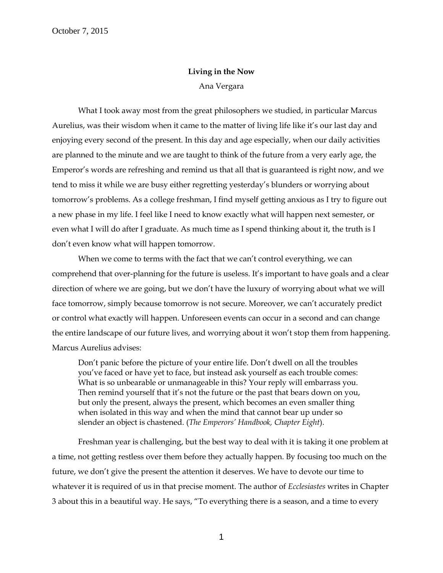## **Living in the Now** Ana Vergara

What I took away most from the great philosophers we studied, in particular Marcus Aurelius, was their wisdom when it came to the matter of living life like it's our last day and enjoying every second of the present. In this day and age especially, when our daily activities are planned to the minute and we are taught to think of the future from a very early age, the Emperor's words are refreshing and remind us that all that is guaranteed is right now, and we tend to miss it while we are busy either regretting yesterday's blunders or worrying about tomorrow's problems. As a college freshman, I find myself getting anxious as I try to figure out a new phase in my life. I feel like I need to know exactly what will happen next semester, or even what I will do after I graduate. As much time as I spend thinking about it, the truth is I don't even know what will happen tomorrow.

When we come to terms with the fact that we can't control everything, we can comprehend that over-planning for the future is useless. It's important to have goals and a clear direction of where we are going, but we don't have the luxury of worrying about what we will face tomorrow, simply because tomorrow is not secure. Moreover, we can't accurately predict or control what exactly will happen. Unforeseen events can occur in a second and can change the entire landscape of our future lives, and worrying about it won't stop them from happening. Marcus Aurelius advises:

Don't panic before the picture of your entire life. Don't dwell on all the troubles you've faced or have yet to face, but instead ask yourself as each trouble comes: What is so unbearable or unmanageable in this? Your reply will embarrass you. Then remind yourself that it's not the future or the past that bears down on you, but only the present, always the present, which becomes an even smaller thing when isolated in this way and when the mind that cannot bear up under so slender an object is chastened. (*The Emperors' Handbook, Chapter Eight*).

Freshman year is challenging, but the best way to deal with it is taking it one problem at a time, not getting restless over them before they actually happen. By focusing too much on the future, we don't give the present the attention it deserves. We have to devote our time to whatever it is required of us in that precise moment. The author of *Ecclesiastes* writes in Chapter 3 about this in a beautiful way. He says, "To everything there is a season, and a time to every

1